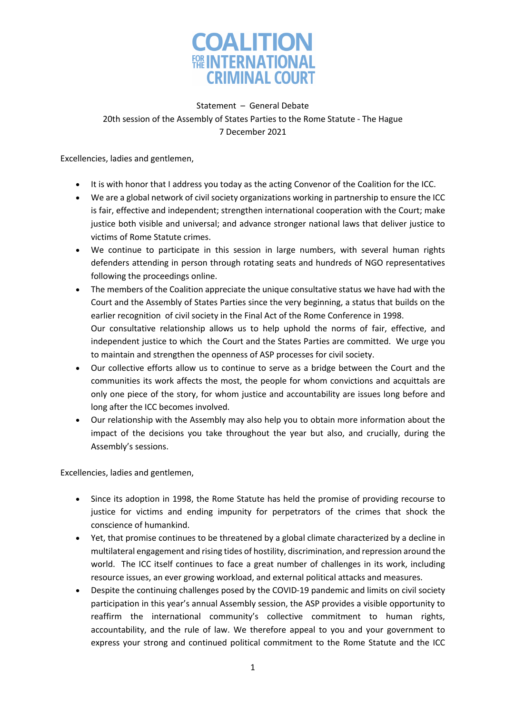

Statement – General Debate 20th session of the Assembly of States Parties to the Rome Statute - The Hague 7 December 2021

Excellencies, ladies and gentlemen,

- It is with honor that I address you today as the acting Convenor of the Coalition for the ICC.
- We are a global network of civil society organizations working in partnership to ensure the ICC is fair, effective and independent; strengthen international cooperation with the Court; make justice both visible and universal; and advance stronger national laws that deliver justice to victims of Rome Statute crimes.
- We continue to participate in this session in large numbers, with several human rights defenders attending in person through rotating seats and hundreds of NGO representatives following the proceedings online.
- The members of the Coalition appreciate the unique consultative status we have had with the Court and the Assembly of States Parties since the very beginning, a status that builds on the earlier recognition of civil society in the Final Act of the Rome Conference in 1998. Our consultative relationship allows us to help uphold the norms of fair, effective, and independent justice to which the Court and the States Parties are committed. We urge you to maintain and strengthen the openness of ASP processes for civil society.
- Our collective efforts allow us to continue to serve as a bridge between the Court and the communities its work affects the most, the people for whom convictions and acquittals are only one piece of the story, for whom justice and accountability are issues long before and long after the ICC becomes involved.
- Our relationship with the Assembly may also help you to obtain more information about the impact of the decisions you take throughout the year but also, and crucially, during the Assembly's sessions.

Excellencies, ladies and gentlemen,

- Since its adoption in 1998, the Rome Statute has held the promise of providing recourse to justice for victims and ending impunity for perpetrators of the crimes that shock the conscience of humankind.
- Yet, that promise continues to be threatened by a global climate characterized by a decline in multilateral engagement and rising tides of hostility, discrimination, and repression around the world. The ICC itself continues to face a great number of challenges in its work, including resource issues, an ever growing workload, and external political attacks and measures.
- Despite the continuing challenges posed by the COVID-19 pandemic and limits on civil society participation in this year's annual Assembly session, the ASP provides a visible opportunity to reaffirm the international community's collective commitment to human rights, accountability, and the rule of law. We therefore appeal to you and your government to express your strong and continued political commitment to the Rome Statute and the ICC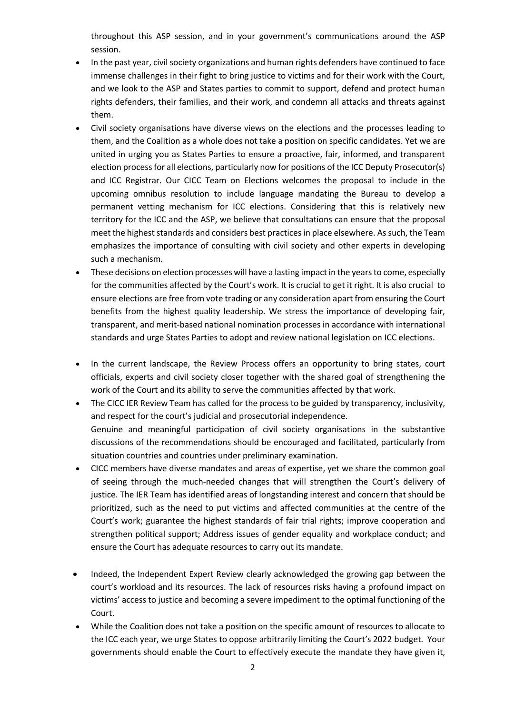throughout this ASP session, and in your government's communications around the ASP session.

- In the past year, civil society organizations and human rights defenders have continued to face immense challenges in their fight to bring justice to victims and for their work with the Court, and we look to the ASP and States parties to commit to support, defend and protect human rights defenders, their families, and their work, and condemn all attacks and threats against them.
- Civil society organisations have diverse views on the elections and the processes leading to them, and the Coalition as a whole does not take a position on specific candidates. Yet we are united in urging you as States Parties to ensure a proactive, fair, informed, and transparent election process for all elections, particularly now for positions of the ICC Deputy Prosecutor(s) and ICC Registrar. Our CICC Team on Elections welcomes the proposal to include in the upcoming omnibus resolution to include language mandating the Bureau to develop a permanent vetting mechanism for ICC elections. Considering that this is relatively new territory for the ICC and the ASP, we believe that consultations can ensure that the proposal meet the highest standards and considers best practices in place elsewhere. As such, the Team emphasizes the importance of consulting with civil society and other experts in developing such a mechanism.
- These decisions on election processes will have a lasting impact in the years to come, especially for the communities affected by the Court's work. It is crucial to get it right. It is also crucial to ensure elections are free from vote trading or any consideration apart from ensuring the Court benefits from the highest quality leadership. We stress the importance of developing fair, transparent, and merit-based national nomination processes in accordance with international standards and urge States Parties to adopt and review national legislation on ICC elections.
- In the current landscape, the Review Process offers an opportunity to bring states, court officials, experts and civil society closer together with the shared goal of strengthening the work of the Court and its ability to serve the communities affected by that work.
- The CICC IER Review Team has called for the process to be guided by transparency, inclusivity, and respect for the court's judicial and prosecutorial independence. Genuine and meaningful participation of civil society organisations in the substantive discussions of the recommendations should be encouraged and facilitated, particularly from situation countries and countries under preliminary examination.
- CICC members have diverse mandates and areas of expertise, yet we share the common goal of seeing through the much-needed changes that will strengthen the Court's delivery of justice. The IER Team has identified areas of longstanding interest and concern that should be prioritized, such as the need to put victims and affected communities at the centre of the Court's work; guarantee the highest standards of fair trial rights; improve cooperation and strengthen political support; Address issues of gender equality and workplace conduct; and ensure the Court has adequate resources to carry out its mandate.
- Indeed, the Independent Expert Review clearly acknowledged the growing gap between the court's workload and its resources. The lack of resources risks having a profound impact on victims' access to justice and becoming a severe impediment to the optimal functioning of the Court.
- While the Coalition does not take a position on the specific amount of resources to allocate to the ICC each year, we urge States to oppose arbitrarily limiting the Court's 2022 budget. Your governments should enable the Court to effectively execute the mandate they have given it,